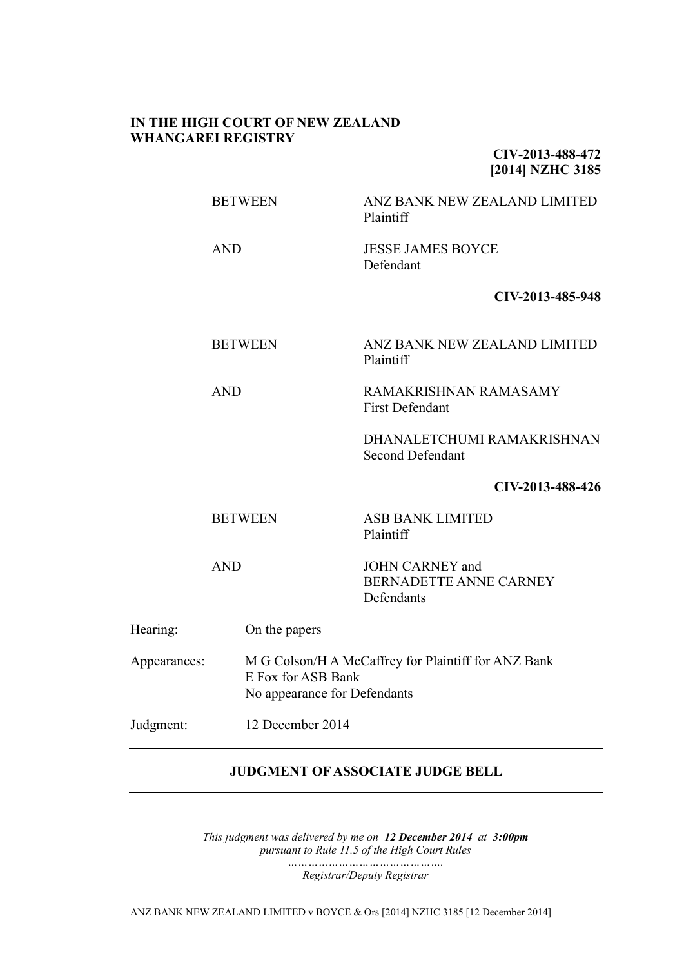## **IN THE HIGH COURT OF NEW ZEALAND WHANGAREI REGISTRY**

**CIV-2013-488-472 [2014] NZHC 3185**

BETWEEN ANZ BANK NEW ZEALAND LIMITED Plaintiff

AND JESSE JAMES BOYCE Defendant

**CIV-2013-485-948**

BETWEEN ANZ BANK NEW ZEALAND LIMITED

Plaintiff

AND RAMAKRISHNAN RAMASAMY First Defendant

> DHANALETCHUMI RAMAKRISHNAN Second Defendant

### **CIV-2013-488-426**

BETWEEN ASB BANK LIMITED Plaintiff

AND JOHN CARNEY and BERNADETTE ANNE CARNEY Defendants

| Hearing:     | On the papers                                                                                             |
|--------------|-----------------------------------------------------------------------------------------------------------|
| Appearances: | M G Colson/H A McCaffrey for Plaintiff for ANZ Bank<br>E Fox for ASB Bank<br>No appearance for Defendants |
| Judgment:    | 12 December 2014                                                                                          |

## **JUDGMENT OF ASSOCIATE JUDGE BELL**

*This judgment was delivered by me on 12 December 2014 at 3:00pm pursuant to Rule 11.5 of the High Court Rules ……………………………………….*

*Registrar/Deputy Registrar*

ANZ BANK NEW ZEALAND LIMITED v BOYCE & Ors [2014] NZHC 3185 [12 December 2014]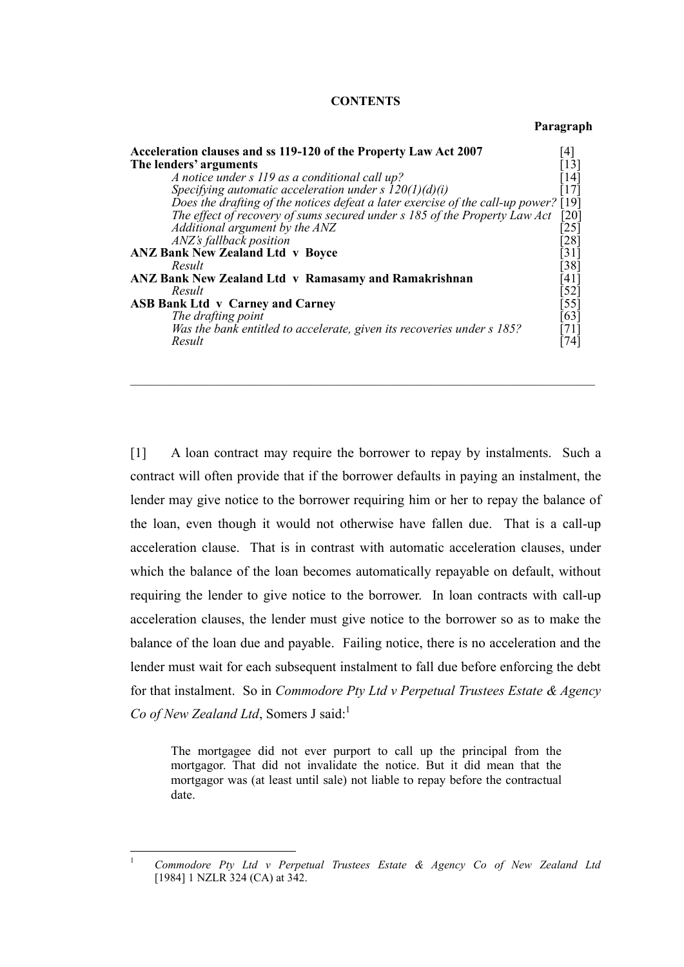#### **CONTENTS**

#### **Paragraph**

| Acceleration clauses and ss 119-120 of the Property Law Act 2007                    | [4]                |
|-------------------------------------------------------------------------------------|--------------------|
| The lenders' arguments                                                              | $\lceil 13 \rceil$ |
| A notice under s 119 as a conditional call up?                                      | [14]               |
| Specifying automatic acceleration under s $I20(1)(d)(i)$                            | $[17]$             |
| Does the drafting of the notices defeat a later exercise of the call-up power? [19] |                    |
| The effect of recovery of sums secured under s 185 of the Property Law Act          | [20]               |
| Additional argument by the ANZ                                                      | [25]               |
| ANZ's fallback position                                                             | [28]               |
| <b>ANZ Bank New Zealand Ltd v Boyce</b>                                             | $\lceil 31 \rceil$ |
| Result                                                                              | $[38]$             |
| ANZ Bank New Zealand Ltd v Ramasamy and Ramakrishnan                                | [41]               |
| Result                                                                              | $[52]$             |
| <b>ASB Bank Ltd v Carney and Carney</b>                                             | $[55]$             |
| The drafting point                                                                  | [63]               |
| Was the bank entitled to accelerate, given its recoveries under s 185?              | [71]               |
| Result                                                                              | [74]               |

 $\mathcal{L}_\mathcal{L} = \{ \mathcal{L}_\mathcal{L} = \{ \mathcal{L}_\mathcal{L} = \{ \mathcal{L}_\mathcal{L} = \{ \mathcal{L}_\mathcal{L} = \{ \mathcal{L}_\mathcal{L} = \{ \mathcal{L}_\mathcal{L} = \{ \mathcal{L}_\mathcal{L} = \{ \mathcal{L}_\mathcal{L} = \{ \mathcal{L}_\mathcal{L} = \{ \mathcal{L}_\mathcal{L} = \{ \mathcal{L}_\mathcal{L} = \{ \mathcal{L}_\mathcal{L} = \{ \mathcal{L}_\mathcal{L} = \{ \mathcal{L}_\mathcal{$ 

[1] A loan contract may require the borrower to repay by instalments. Such a contract will often provide that if the borrower defaults in paying an instalment, the lender may give notice to the borrower requiring him or her to repay the balance of the loan, even though it would not otherwise have fallen due. That is a call-up acceleration clause. That is in contrast with automatic acceleration clauses, under which the balance of the loan becomes automatically repayable on default, without requiring the lender to give notice to the borrower. In loan contracts with call-up acceleration clauses, the lender must give notice to the borrower so as to make the balance of the loan due and payable. Failing notice, there is no acceleration and the lender must wait for each subsequent instalment to fall due before enforcing the debt for that instalment. So in *Commodore Pty Ltd v Perpetual Trustees Estate & Agency Co of New Zealand Ltd*, Somers J said:<sup>1</sup>

The mortgagee did not ever purport to call up the principal from the mortgagor. That did not invalidate the notice. But it did mean that the mortgagor was (at least until sale) not liable to repay before the contractual date.

 $\overline{1}$ <sup>1</sup> *Commodore Pty Ltd v Perpetual Trustees Estate & Agency Co of New Zealand Ltd* [1984] 1 NZLR 324 (CA) at 342.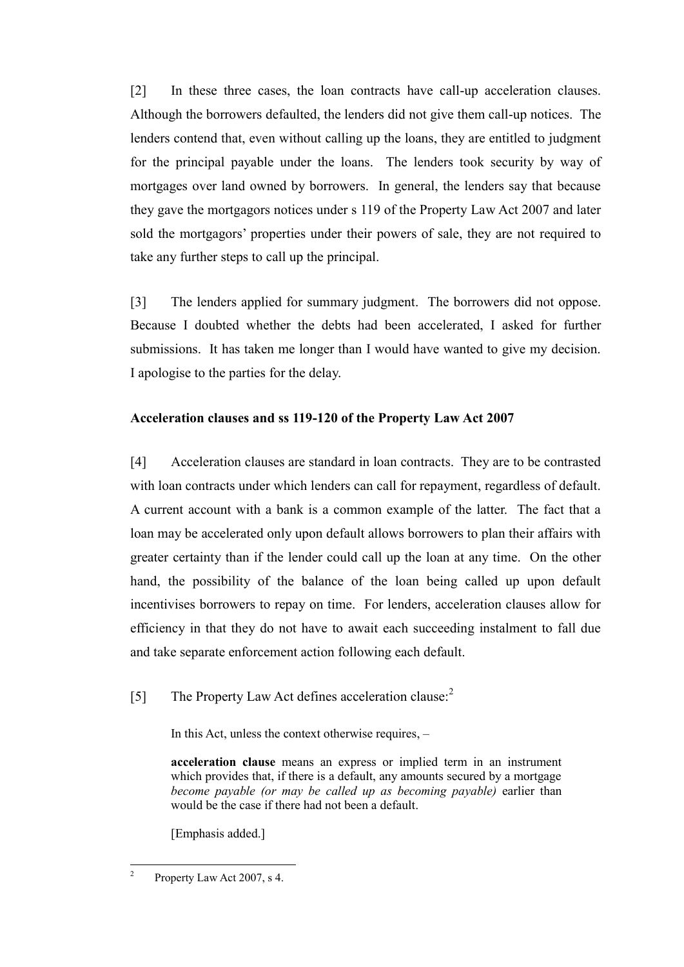[2] In these three cases, the loan contracts have call-up acceleration clauses. Although the borrowers defaulted, the lenders did not give them call-up notices. The lenders contend that, even without calling up the loans, they are entitled to judgment for the principal payable under the loans. The lenders took security by way of mortgages over land owned by borrowers. In general, the lenders say that because they gave the mortgagors notices under s 119 of the Property Law Act 2007 and later sold the mortgagors' properties under their powers of sale, they are not required to take any further steps to call up the principal.

[3] The lenders applied for summary judgment. The borrowers did not oppose. Because I doubted whether the debts had been accelerated, I asked for further submissions. It has taken me longer than I would have wanted to give my decision. I apologise to the parties for the delay.

# **Acceleration clauses and ss 119-120 of the Property Law Act 2007**

[4] Acceleration clauses are standard in loan contracts. They are to be contrasted with loan contracts under which lenders can call for repayment, regardless of default. A current account with a bank is a common example of the latter. The fact that a loan may be accelerated only upon default allows borrowers to plan their affairs with greater certainty than if the lender could call up the loan at any time. On the other hand, the possibility of the balance of the loan being called up upon default incentivises borrowers to repay on time. For lenders, acceleration clauses allow for efficiency in that they do not have to await each succeeding instalment to fall due and take separate enforcement action following each default.

[5] The Property Law Act defines acceleration clause:<sup>2</sup>

In this Act, unless the context otherwise requires, –

**acceleration clause** means an express or implied term in an instrument which provides that, if there is a default, any amounts secured by a mortgage *become payable (or may be called up as becoming payable)* earlier than would be the case if there had not been a default.

[Emphasis added.]

 $\frac{1}{2}$ Property Law Act 2007, s 4.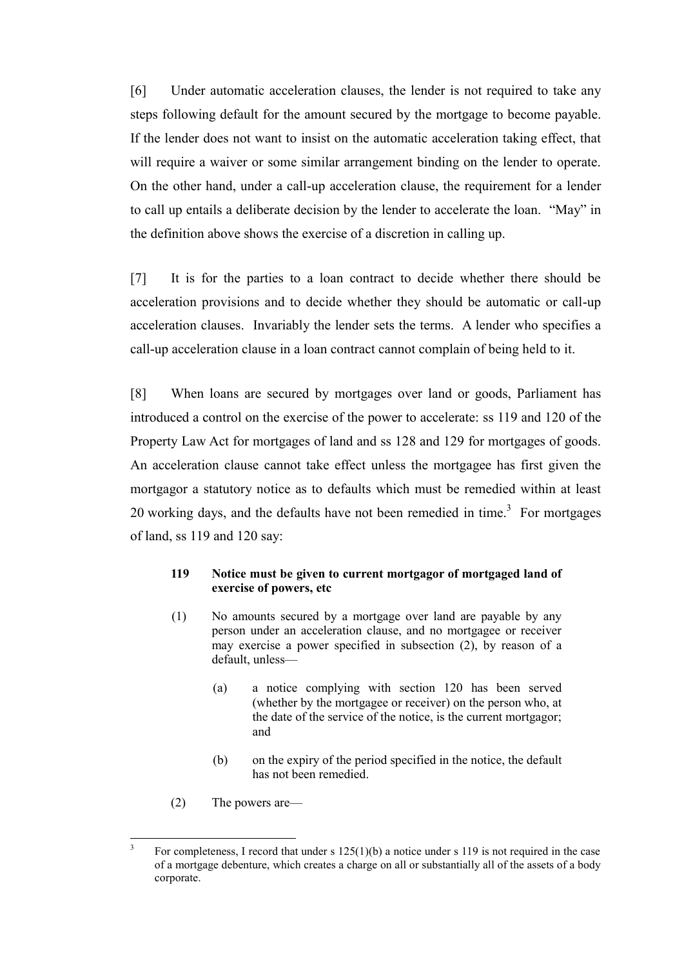[6] Under automatic acceleration clauses, the lender is not required to take any steps following default for the amount secured by the mortgage to become payable. If the lender does not want to insist on the automatic acceleration taking effect, that will require a waiver or some similar arrangement binding on the lender to operate. On the other hand, under a call-up acceleration clause, the requirement for a lender to call up entails a deliberate decision by the lender to accelerate the loan. "May" in the definition above shows the exercise of a discretion in calling up.

[7] It is for the parties to a loan contract to decide whether there should be acceleration provisions and to decide whether they should be automatic or call-up acceleration clauses. Invariably the lender sets the terms. A lender who specifies a call-up acceleration clause in a loan contract cannot complain of being held to it.

[8] When loans are secured by mortgages over land or goods, Parliament has introduced a control on the exercise of the power to accelerate: ss 119 and 120 of the Property Law Act for mortgages of land and ss 128 and 129 for mortgages of goods. An acceleration clause cannot take effect unless the mortgagee has first given the mortgagor a statutory notice as to defaults which must be remedied within at least 20 working days, and the defaults have not been remedied in time.<sup>3</sup> For mortgages of land, ss 119 and 120 say:

### **119 Notice must be given to current mortgagor of mortgaged land of exercise of powers, etc**

- (1) No amounts secured by a mortgage over land are payable by any person under an acceleration clause, and no mortgagee or receiver may exercise a power specified in subsection (2), by reason of a default, unless—
	- (a) a notice complying with section 120 has been served (whether by the mortgagee or receiver) on the person who, at the date of the service of the notice, is the current mortgagor; and
	- (b) on the expiry of the period specified in the notice, the default has not been remedied.
- (2) The powers are—

 3 For completeness, I record that under s  $125(1)(b)$  a notice under s 119 is not required in the case of a mortgage debenture, which creates a charge on all or substantially all of the assets of a body corporate.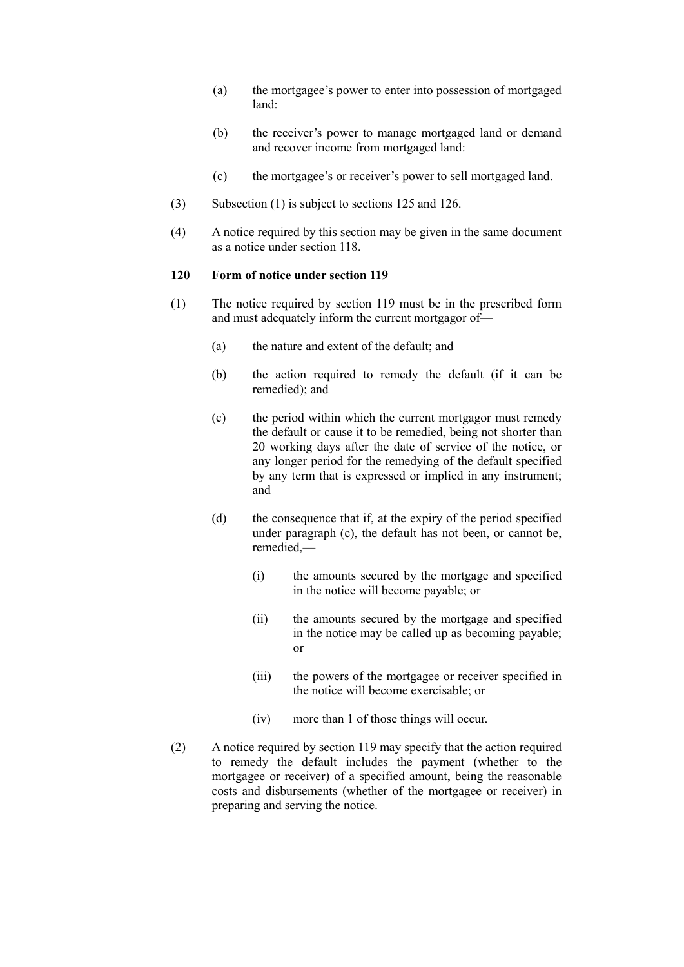- (a) the mortgagee's power to enter into possession of mortgaged land:
- (b) the receiver's power to manage mortgaged land or demand and recover income from mortgaged land:
- (c) the mortgagee's or receiver's power to sell mortgaged land.
- (3) Subsection (1) is subject to sections 125 and 126.
- (4) A notice required by this section may be given in the same document as a notice under section 118.

#### **120 Form of notice under section 119**

- (1) The notice required by section 119 must be in the prescribed form and must adequately inform the current mortgagor of—
	- (a) the nature and extent of the default; and
	- (b) the action required to remedy the default (if it can be remedied); and
	- (c) the period within which the current mortgagor must remedy the default or cause it to be remedied, being not shorter than 20 working days after the date of service of the notice, or any longer period for the remedying of the default specified by any term that is expressed or implied in any instrument; and
	- (d) the consequence that if, at the expiry of the period specified under paragraph (c), the default has not been, or cannot be, remedied,—
		- (i) the amounts secured by the mortgage and specified in the notice will become payable; or
		- (ii) the amounts secured by the mortgage and specified in the notice may be called up as becoming payable; or
		- (iii) the powers of the mortgagee or receiver specified in the notice will become exercisable; or
		- (iv) more than 1 of those things will occur.
- (2) A notice required by section 119 may specify that the action required to remedy the default includes the payment (whether to the mortgagee or receiver) of a specified amount, being the reasonable costs and disbursements (whether of the mortgagee or receiver) in preparing and serving the notice.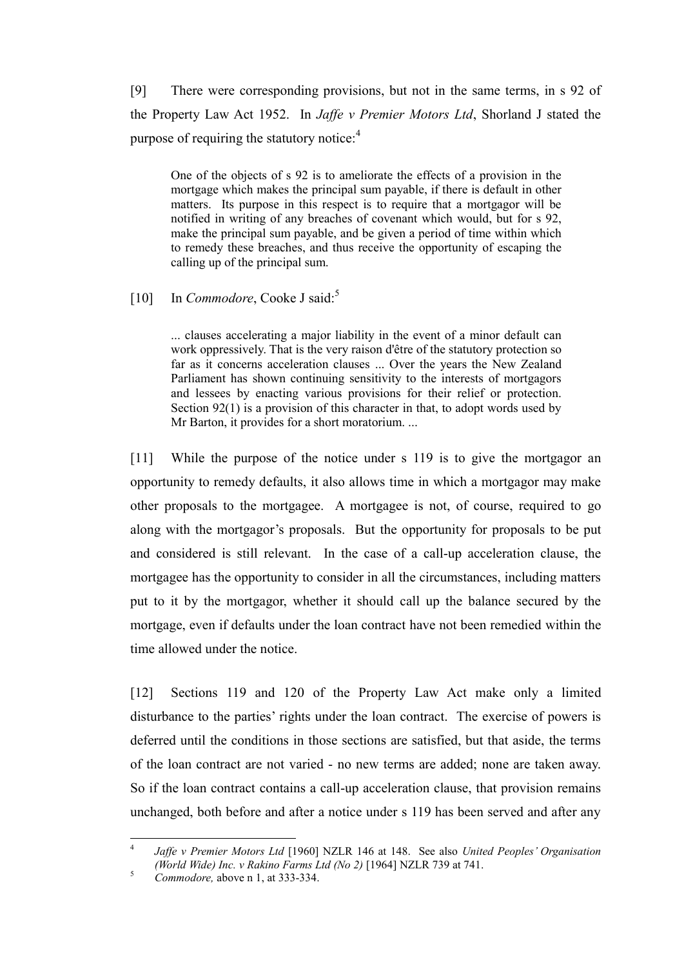[9] There were corresponding provisions, but not in the same terms, in s 92 of the Property Law Act 1952. In *Jaffe v Premier Motors Ltd*, Shorland J stated the purpose of requiring the statutory notice: $4$ 

One of the objects of s 92 is to ameliorate the effects of a provision in the mortgage which makes the principal sum payable, if there is default in other matters. Its purpose in this respect is to require that a mortgagor will be notified in writing of any breaches of covenant which would, but for s 92, make the principal sum payable, and be given a period of time within which to remedy these breaches, and thus receive the opportunity of escaping the calling up of the principal sum.

# [10] In *Commodore*, Cooke J said:<sup>5</sup>

... clauses accelerating a major liability in the event of a minor default can work oppressively. That is the very raison d'être of the statutory protection so far as it concerns acceleration clauses ... Over the years the New Zealand Parliament has shown continuing sensitivity to the interests of mortgagors and lessees by enacting various provisions for their relief or protection. Section 92(1) is a provision of this character in that, to adopt words used by Mr Barton, it provides for a short moratorium. ...

[11] While the purpose of the notice under s 119 is to give the mortgagor an opportunity to remedy defaults, it also allows time in which a mortgagor may make other proposals to the mortgagee. A mortgagee is not, of course, required to go along with the mortgagor's proposals. But the opportunity for proposals to be put and considered is still relevant. In the case of a call-up acceleration clause, the mortgagee has the opportunity to consider in all the circumstances, including matters put to it by the mortgagor, whether it should call up the balance secured by the mortgage, even if defaults under the loan contract have not been remedied within the time allowed under the notice.

[12] Sections 119 and 120 of the Property Law Act make only a limited disturbance to the parties' rights under the loan contract. The exercise of powers is deferred until the conditions in those sections are satisfied, but that aside, the terms of the loan contract are not varied - no new terms are added; none are taken away. So if the loan contract contains a call-up acceleration clause, that provision remains unchanged, both before and after a notice under s 119 has been served and after any

 $\frac{1}{4}$ *Jaffe v Premier Motors Ltd* [1960] NZLR 146 at 148. See also *United Peoples' Organisation (World Wide) Inc. v Rakino Farms Ltd (No 2)* [1964] NZLR 739 at 741.

<sup>5</sup> *Commodore,* above n 1, at 333-334.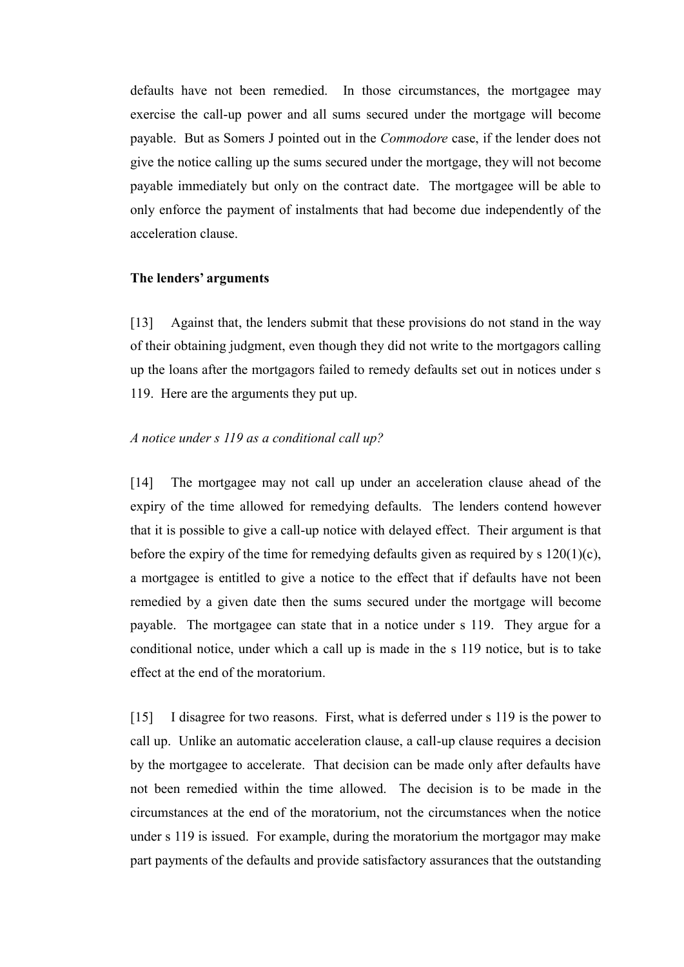defaults have not been remedied. In those circumstances, the mortgagee may exercise the call-up power and all sums secured under the mortgage will become payable. But as Somers J pointed out in the *Commodore* case, if the lender does not give the notice calling up the sums secured under the mortgage, they will not become payable immediately but only on the contract date. The mortgagee will be able to only enforce the payment of instalments that had become due independently of the acceleration clause.

### **The lenders' arguments**

[13] Against that, the lenders submit that these provisions do not stand in the way of their obtaining judgment, even though they did not write to the mortgagors calling up the loans after the mortgagors failed to remedy defaults set out in notices under s 119. Here are the arguments they put up.

# *A notice under s 119 as a conditional call up?*

[14] The mortgagee may not call up under an acceleration clause ahead of the expiry of the time allowed for remedying defaults. The lenders contend however that it is possible to give a call-up notice with delayed effect. Their argument is that before the expiry of the time for remedying defaults given as required by s 120(1)(c), a mortgagee is entitled to give a notice to the effect that if defaults have not been remedied by a given date then the sums secured under the mortgage will become payable. The mortgagee can state that in a notice under s 119. They argue for a conditional notice, under which a call up is made in the s 119 notice, but is to take effect at the end of the moratorium.

[15] I disagree for two reasons. First, what is deferred under s 119 is the power to call up. Unlike an automatic acceleration clause, a call-up clause requires a decision by the mortgagee to accelerate. That decision can be made only after defaults have not been remedied within the time allowed. The decision is to be made in the circumstances at the end of the moratorium, not the circumstances when the notice under s 119 is issued. For example, during the moratorium the mortgagor may make part payments of the defaults and provide satisfactory assurances that the outstanding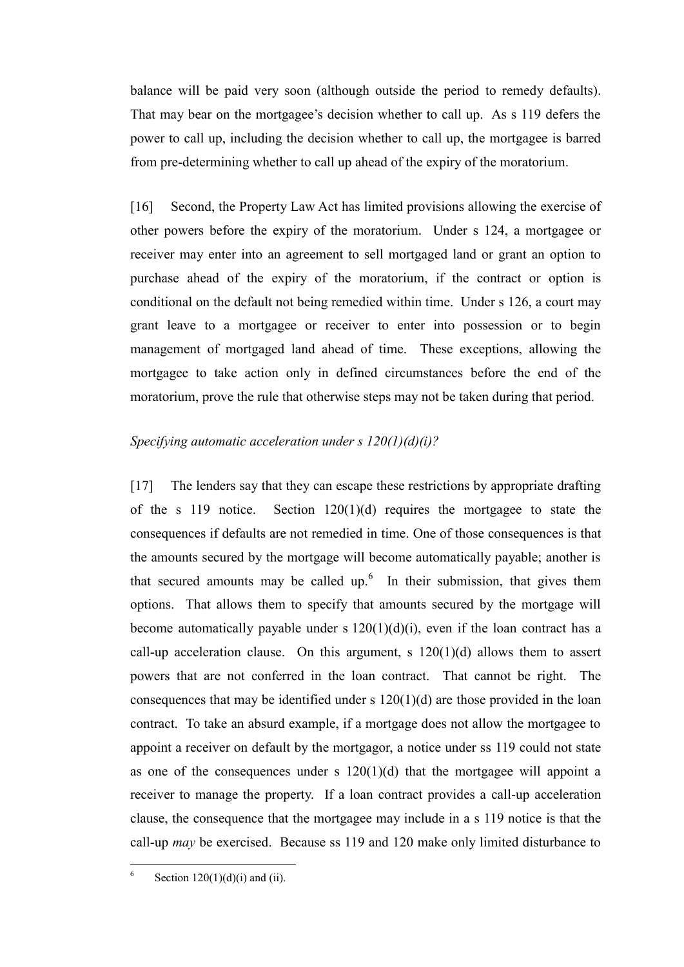balance will be paid very soon (although outside the period to remedy defaults). That may bear on the mortgagee's decision whether to call up. As s 119 defers the power to call up, including the decision whether to call up, the mortgagee is barred from pre-determining whether to call up ahead of the expiry of the moratorium.

[16] Second, the Property Law Act has limited provisions allowing the exercise of other powers before the expiry of the moratorium. Under s 124, a mortgagee or receiver may enter into an agreement to sell mortgaged land or grant an option to purchase ahead of the expiry of the moratorium, if the contract or option is conditional on the default not being remedied within time. Under s 126, a court may grant leave to a mortgagee or receiver to enter into possession or to begin management of mortgaged land ahead of time. These exceptions, allowing the mortgagee to take action only in defined circumstances before the end of the moratorium, prove the rule that otherwise steps may not be taken during that period.

### *Specifying automatic acceleration under s 120(1)(d)(i)?*

[17] The lenders say that they can escape these restrictions by appropriate drafting of the s 119 notice. Section  $120(1)(d)$  requires the mortgagee to state the consequences if defaults are not remedied in time. One of those consequences is that the amounts secured by the mortgage will become automatically payable; another is that secured amounts may be called up. $6\,$  In their submission, that gives them options. That allows them to specify that amounts secured by the mortgage will become automatically payable under s  $120(1)(d)(i)$ , even if the loan contract has a call-up acceleration clause. On this argument, s  $120(1)(d)$  allows them to assert powers that are not conferred in the loan contract. That cannot be right. The consequences that may be identified under s  $120(1)(d)$  are those provided in the loan contract. To take an absurd example, if a mortgage does not allow the mortgagee to appoint a receiver on default by the mortgagor, a notice under ss 119 could not state as one of the consequences under s  $120(1)(d)$  that the mortgagee will appoint a receiver to manage the property. If a loan contract provides a call-up acceleration clause, the consequence that the mortgagee may include in a s 119 notice is that the call-up *may* be exercised. Because ss 119 and 120 make only limited disturbance to

 $\frac{1}{6}$ Section  $120(1)(d)(i)$  and (ii).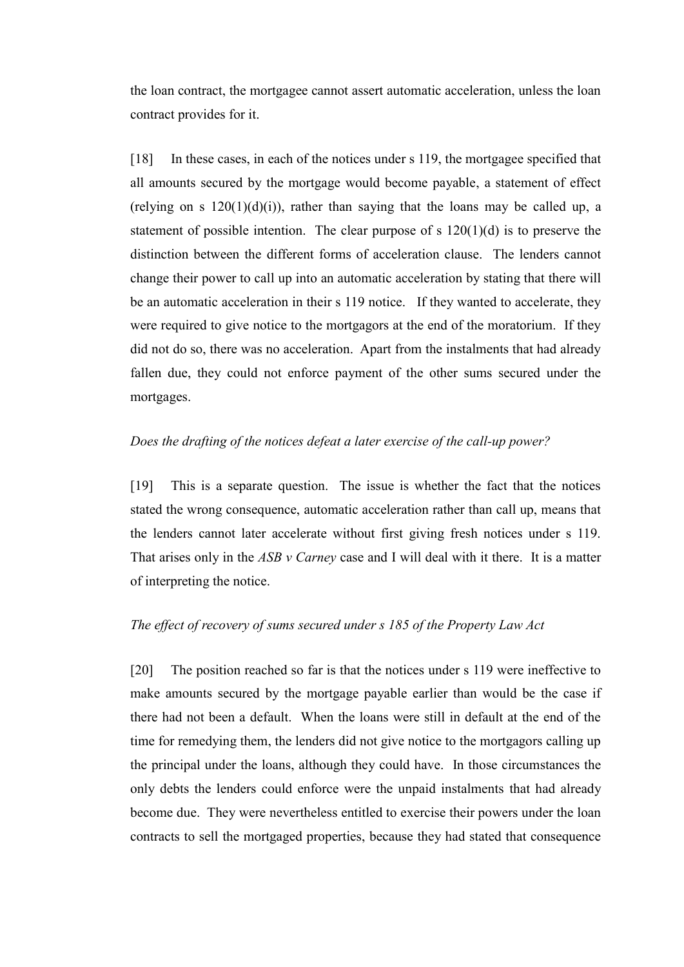the loan contract, the mortgagee cannot assert automatic acceleration, unless the loan contract provides for it.

[18] In these cases, in each of the notices under s 119, the mortgagee specified that all amounts secured by the mortgage would become payable, a statement of effect (relying on s  $120(1)(d)(i)$ ), rather than saying that the loans may be called up, a statement of possible intention. The clear purpose of s  $120(1)(d)$  is to preserve the distinction between the different forms of acceleration clause. The lenders cannot change their power to call up into an automatic acceleration by stating that there will be an automatic acceleration in their s 119 notice. If they wanted to accelerate, they were required to give notice to the mortgagors at the end of the moratorium. If they did not do so, there was no acceleration. Apart from the instalments that had already fallen due, they could not enforce payment of the other sums secured under the mortgages.

## *Does the drafting of the notices defeat a later exercise of the call-up power?*

[19] This is a separate question. The issue is whether the fact that the notices stated the wrong consequence, automatic acceleration rather than call up, means that the lenders cannot later accelerate without first giving fresh notices under s 119. That arises only in the *ASB v Carney* case and I will deal with it there. It is a matter of interpreting the notice.

## *The effect of recovery of sums secured under s 185 of the Property Law Act*

[20] The position reached so far is that the notices under s 119 were ineffective to make amounts secured by the mortgage payable earlier than would be the case if there had not been a default. When the loans were still in default at the end of the time for remedying them, the lenders did not give notice to the mortgagors calling up the principal under the loans, although they could have. In those circumstances the only debts the lenders could enforce were the unpaid instalments that had already become due. They were nevertheless entitled to exercise their powers under the loan contracts to sell the mortgaged properties, because they had stated that consequence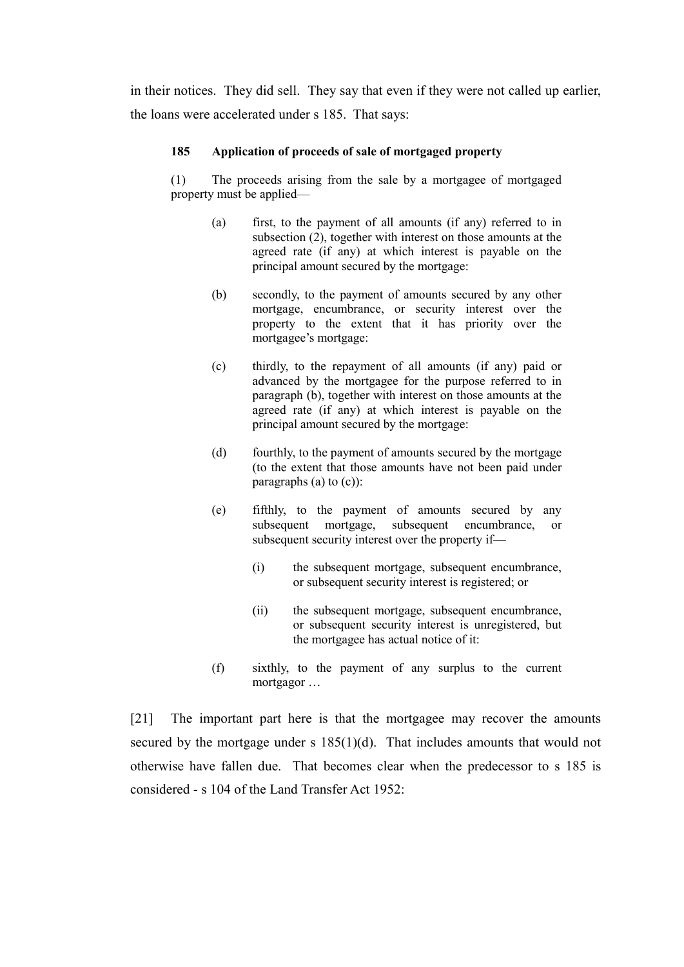in their notices. They did sell. They say that even if they were not called up earlier, the loans were accelerated under s 185. That says:

### **185 Application of proceeds of sale of mortgaged property**

(1) The proceeds arising from the sale by a mortgagee of mortgaged property must be applied—

- (a) first, to the payment of all amounts (if any) referred to in subsection (2), together with interest on those amounts at the agreed rate (if any) at which interest is payable on the principal amount secured by the mortgage:
- (b) secondly, to the payment of amounts secured by any other mortgage, encumbrance, or security interest over the property to the extent that it has priority over the mortgagee's mortgage:
- (c) thirdly, to the repayment of all amounts (if any) paid or advanced by the mortgagee for the purpose referred to in paragraph (b), together with interest on those amounts at the agreed rate (if any) at which interest is payable on the principal amount secured by the mortgage:
- (d) fourthly, to the payment of amounts secured by the mortgage (to the extent that those amounts have not been paid under paragraphs (a) to (c)):
- (e) fifthly, to the payment of amounts secured by any subsequent mortgage, subsequent encumbrance, or subsequent security interest over the property if—
	- (i) the subsequent mortgage, subsequent encumbrance, or subsequent security interest is registered; or
	- (ii) the subsequent mortgage, subsequent encumbrance, or subsequent security interest is unregistered, but the mortgagee has actual notice of it:
- (f) sixthly, to the payment of any surplus to the current mortgagor …

[21] The important part here is that the mortgagee may recover the amounts secured by the mortgage under s 185(1)(d). That includes amounts that would not otherwise have fallen due. That becomes clear when the predecessor to s 185 is considered - s 104 of the Land Transfer Act 1952: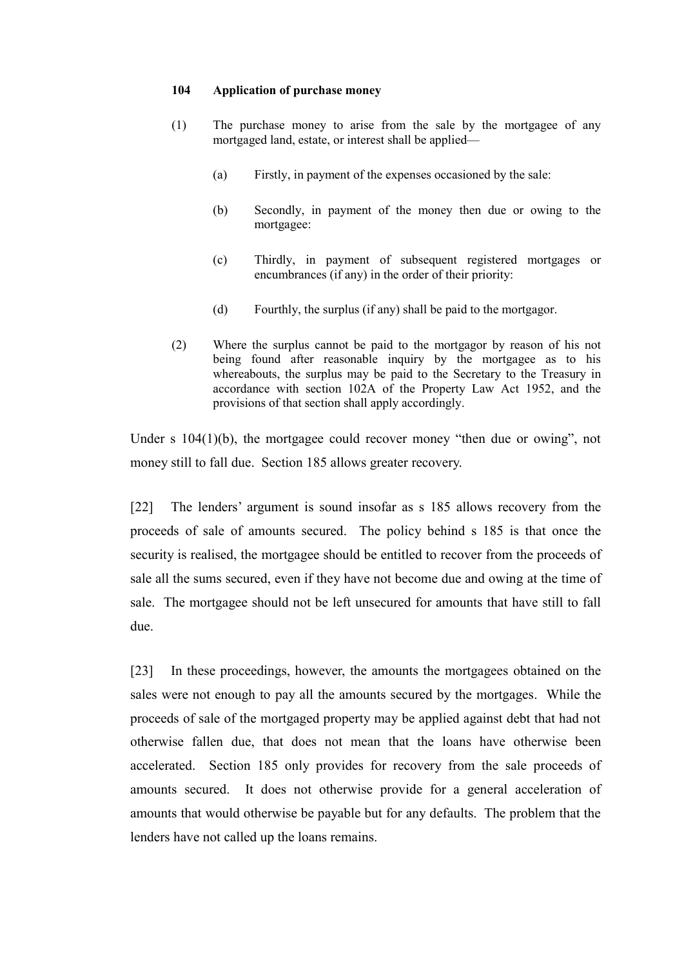#### **104 Application of purchase money**

- (1) The purchase money to arise from the sale by the mortgagee of any mortgaged land, estate, or interest shall be applied—
	- (a) Firstly, in payment of the expenses occasioned by the sale:
	- (b) Secondly, in payment of the money then due or owing to the mortgagee:
	- (c) Thirdly, in payment of subsequent registered mortgages or encumbrances (if any) in the order of their priority:
	- (d) Fourthly, the surplus (if any) shall be paid to the mortgagor.
- (2) Where the surplus cannot be paid to the mortgagor by reason of his not being found after reasonable inquiry by the mortgagee as to his whereabouts, the surplus may be paid to the Secretary to the Treasury in accordance with section 102A of the Property Law Act 1952, and the provisions of that section shall apply accordingly.

Under s 104(1)(b), the mortgagee could recover money "then due or owing", not money still to fall due. Section 185 allows greater recovery.

[22] The lenders' argument is sound insofar as s 185 allows recovery from the proceeds of sale of amounts secured. The policy behind s 185 is that once the security is realised, the mortgagee should be entitled to recover from the proceeds of sale all the sums secured, even if they have not become due and owing at the time of sale. The mortgagee should not be left unsecured for amounts that have still to fall due.

[23] In these proceedings, however, the amounts the mortgagees obtained on the sales were not enough to pay all the amounts secured by the mortgages. While the proceeds of sale of the mortgaged property may be applied against debt that had not otherwise fallen due, that does not mean that the loans have otherwise been accelerated. Section 185 only provides for recovery from the sale proceeds of amounts secured. It does not otherwise provide for a general acceleration of amounts that would otherwise be payable but for any defaults. The problem that the lenders have not called up the loans remains.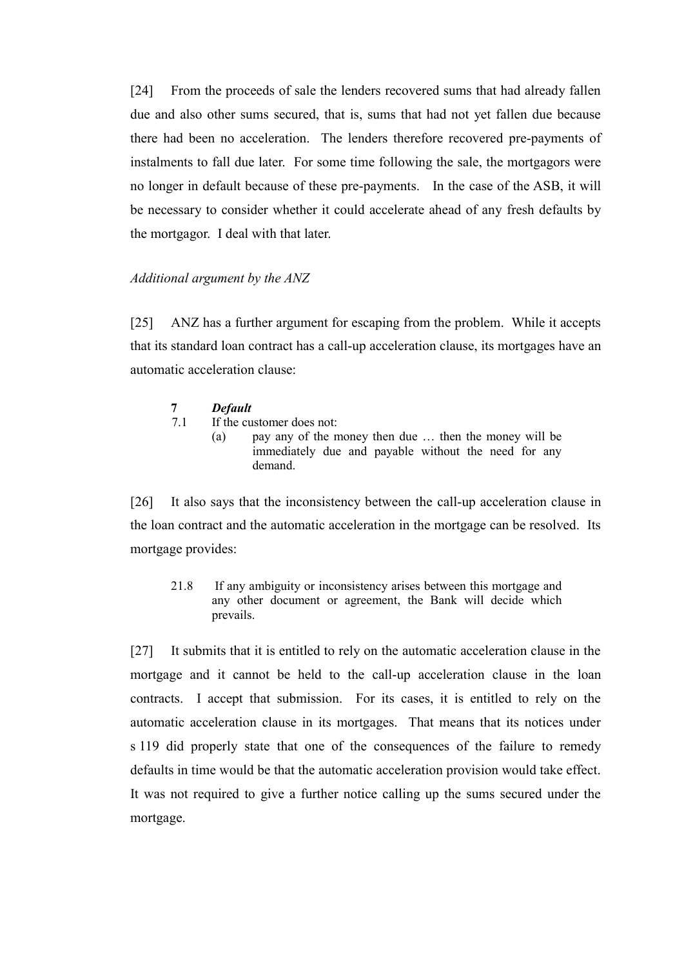[24] From the proceeds of sale the lenders recovered sums that had already fallen due and also other sums secured, that is, sums that had not yet fallen due because there had been no acceleration. The lenders therefore recovered pre-payments of instalments to fall due later. For some time following the sale, the mortgagors were no longer in default because of these pre-payments. In the case of the ASB, it will be necessary to consider whether it could accelerate ahead of any fresh defaults by the mortgagor. I deal with that later.

### *Additional argument by the ANZ*

[25] ANZ has a further argument for escaping from the problem. While it accepts that its standard loan contract has a call-up acceleration clause, its mortgages have an automatic acceleration clause:

| <b>Default</b> |
|----------------|

7.1 If the customer does not:

(a) pay any of the money then due … then the money will be immediately due and payable without the need for any demand.

[26] It also says that the inconsistency between the call-up acceleration clause in the loan contract and the automatic acceleration in the mortgage can be resolved. Its mortgage provides:

21.8 If any ambiguity or inconsistency arises between this mortgage and any other document or agreement, the Bank will decide which prevails.

[27] It submits that it is entitled to rely on the automatic acceleration clause in the mortgage and it cannot be held to the call-up acceleration clause in the loan contracts. I accept that submission. For its cases, it is entitled to rely on the automatic acceleration clause in its mortgages. That means that its notices under s 119 did properly state that one of the consequences of the failure to remedy defaults in time would be that the automatic acceleration provision would take effect. It was not required to give a further notice calling up the sums secured under the mortgage.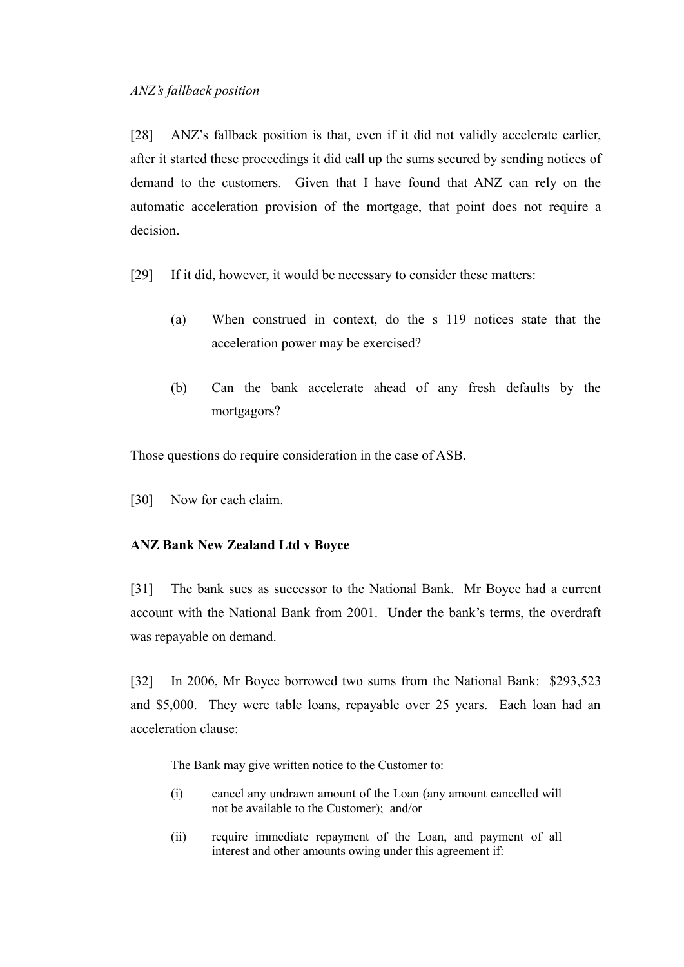[28] ANZ's fallback position is that, even if it did not validly accelerate earlier, after it started these proceedings it did call up the sums secured by sending notices of demand to the customers. Given that I have found that ANZ can rely on the automatic acceleration provision of the mortgage, that point does not require a decision.

[29] If it did, however, it would be necessary to consider these matters:

- (a) When construed in context, do the s 119 notices state that the acceleration power may be exercised?
- (b) Can the bank accelerate ahead of any fresh defaults by the mortgagors?

Those questions do require consideration in the case of ASB.

[30] Now for each claim.

# **ANZ Bank New Zealand Ltd v Boyce**

[31] The bank sues as successor to the National Bank. Mr Boyce had a current account with the National Bank from 2001. Under the bank's terms, the overdraft was repayable on demand.

[32] In 2006, Mr Boyce borrowed two sums from the National Bank: \$293,523 and \$5,000. They were table loans, repayable over 25 years. Each loan had an acceleration clause:

The Bank may give written notice to the Customer to:

- (i) cancel any undrawn amount of the Loan (any amount cancelled will not be available to the Customer); and/or
- (ii) require immediate repayment of the Loan, and payment of all interest and other amounts owing under this agreement if: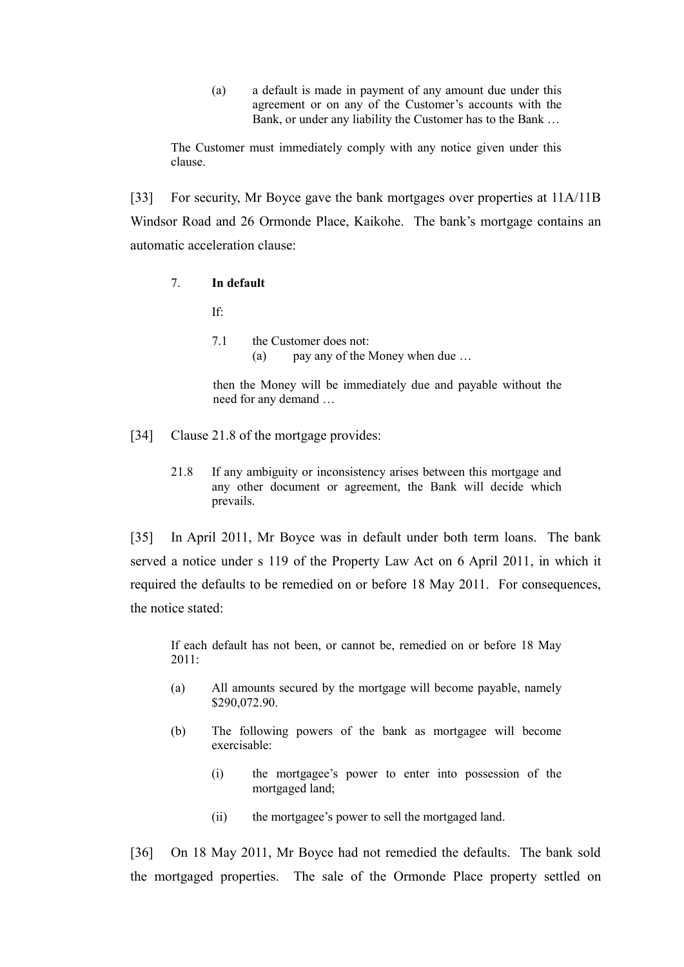(a) a default is made in payment of any amount due under this agreement or on any of the Customer's accounts with the Bank, or under any liability the Customer has to the Bank …

The Customer must immediately comply with any notice given under this clause.

[33] For security, Mr Boyce gave the bank mortgages over properties at 11A/11B Windsor Road and 26 Ormonde Place, Kaikohe. The bank's mortgage contains an automatic acceleration clause:

7. **In default**

If:

7.1 the Customer does not: (a) pay any of the Money when due …

then the Money will be immediately due and payable without the need for any demand …

- [34] Clause 21.8 of the mortgage provides:
	- 21.8 If any ambiguity or inconsistency arises between this mortgage and any other document or agreement, the Bank will decide which prevails.

[35] In April 2011, Mr Boyce was in default under both term loans. The bank served a notice under s 119 of the Property Law Act on 6 April 2011, in which it required the defaults to be remedied on or before 18 May 2011. For consequences, the notice stated:

If each default has not been, or cannot be, remedied on or before 18 May 2011:

- (a) All amounts secured by the mortgage will become payable, namely \$290,072.90.
- (b) The following powers of the bank as mortgagee will become exercisable:
	- (i) the mortgagee's power to enter into possession of the mortgaged land;
	- (ii) the mortgagee's power to sell the mortgaged land.

[36] On 18 May 2011, Mr Boyce had not remedied the defaults. The bank sold the mortgaged properties. The sale of the Ormonde Place property settled on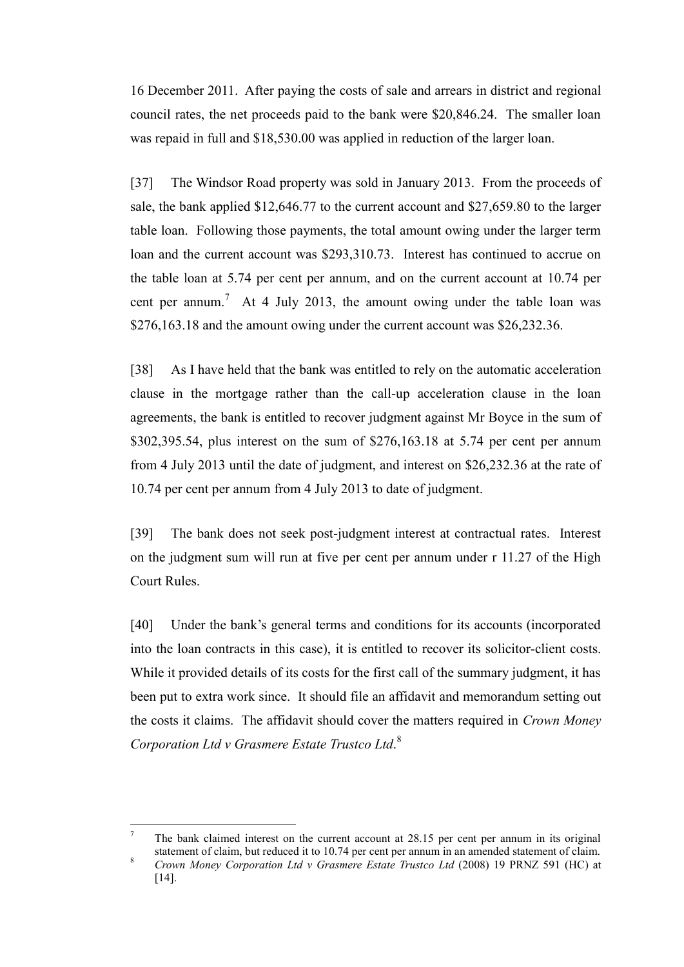16 December 2011. After paying the costs of sale and arrears in district and regional council rates, the net proceeds paid to the bank were \$20,846.24. The smaller loan was repaid in full and \$18,530.00 was applied in reduction of the larger loan.

[37] The Windsor Road property was sold in January 2013. From the proceeds of sale, the bank applied \$12,646.77 to the current account and \$27,659.80 to the larger table loan. Following those payments, the total amount owing under the larger term loan and the current account was \$293,310.73. Interest has continued to accrue on the table loan at 5.74 per cent per annum, and on the current account at 10.74 per cent per annum.<sup>7</sup> At 4 July 2013, the amount owing under the table loan was \$276,163.18 and the amount owing under the current account was \$26,232.36.

[38] As I have held that the bank was entitled to rely on the automatic acceleration clause in the mortgage rather than the call-up acceleration clause in the loan agreements, the bank is entitled to recover judgment against Mr Boyce in the sum of \$302,395.54, plus interest on the sum of \$276,163.18 at 5.74 per cent per annum from 4 July 2013 until the date of judgment, and interest on \$26,232.36 at the rate of 10.74 per cent per annum from 4 July 2013 to date of judgment.

[39] The bank does not seek post-judgment interest at contractual rates. Interest on the judgment sum will run at five per cent per annum under r 11.27 of the High Court Rules.

[40] Under the bank's general terms and conditions for its accounts (incorporated into the loan contracts in this case), it is entitled to recover its solicitor-client costs. While it provided details of its costs for the first call of the summary judgment, it has been put to extra work since. It should file an affidavit and memorandum setting out the costs it claims. The affidavit should cover the matters required in *Crown Money Corporation Ltd v Grasmere Estate Trustco Ltd*. 8

 $\overline{a}$ 

The bank claimed interest on the current account at 28.15 per cent per annum in its original statement of claim, but reduced it to 10.74 per cent per annum in an amended statement of claim.

<sup>8</sup> *Crown Money Corporation Ltd v Grasmere Estate Trustco Ltd* (2008) 19 PRNZ 591 (HC) at [14].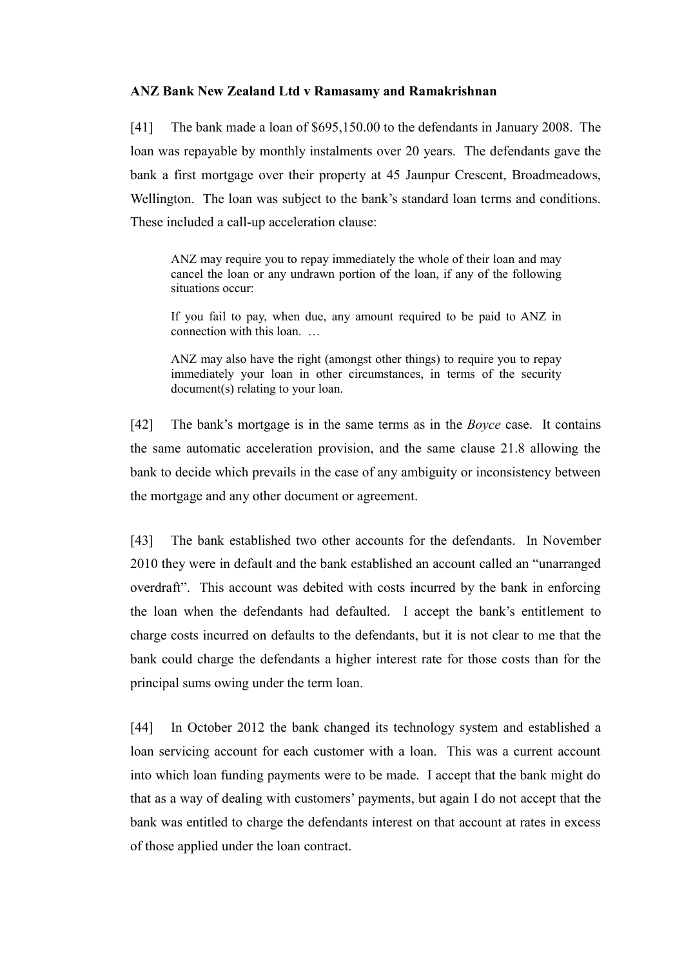## **ANZ Bank New Zealand Ltd v Ramasamy and Ramakrishnan**

[41] The bank made a loan of \$695,150.00 to the defendants in January 2008. The loan was repayable by monthly instalments over 20 years. The defendants gave the bank a first mortgage over their property at 45 Jaunpur Crescent, Broadmeadows, Wellington. The loan was subject to the bank's standard loan terms and conditions. These included a call-up acceleration clause:

ANZ may require you to repay immediately the whole of their loan and may cancel the loan or any undrawn portion of the loan, if any of the following situations occur:

If you fail to pay, when due, any amount required to be paid to ANZ in connection with this loan. …

ANZ may also have the right (amongst other things) to require you to repay immediately your loan in other circumstances, in terms of the security document(s) relating to your loan.

[42] The bank's mortgage is in the same terms as in the *Boyce* case. It contains the same automatic acceleration provision, and the same clause 21.8 allowing the bank to decide which prevails in the case of any ambiguity or inconsistency between the mortgage and any other document or agreement.

[43] The bank established two other accounts for the defendants. In November 2010 they were in default and the bank established an account called an "unarranged overdraft". This account was debited with costs incurred by the bank in enforcing the loan when the defendants had defaulted. I accept the bank's entitlement to charge costs incurred on defaults to the defendants, but it is not clear to me that the bank could charge the defendants a higher interest rate for those costs than for the principal sums owing under the term loan.

[44] In October 2012 the bank changed its technology system and established a loan servicing account for each customer with a loan. This was a current account into which loan funding payments were to be made. I accept that the bank might do that as a way of dealing with customers' payments, but again I do not accept that the bank was entitled to charge the defendants interest on that account at rates in excess of those applied under the loan contract.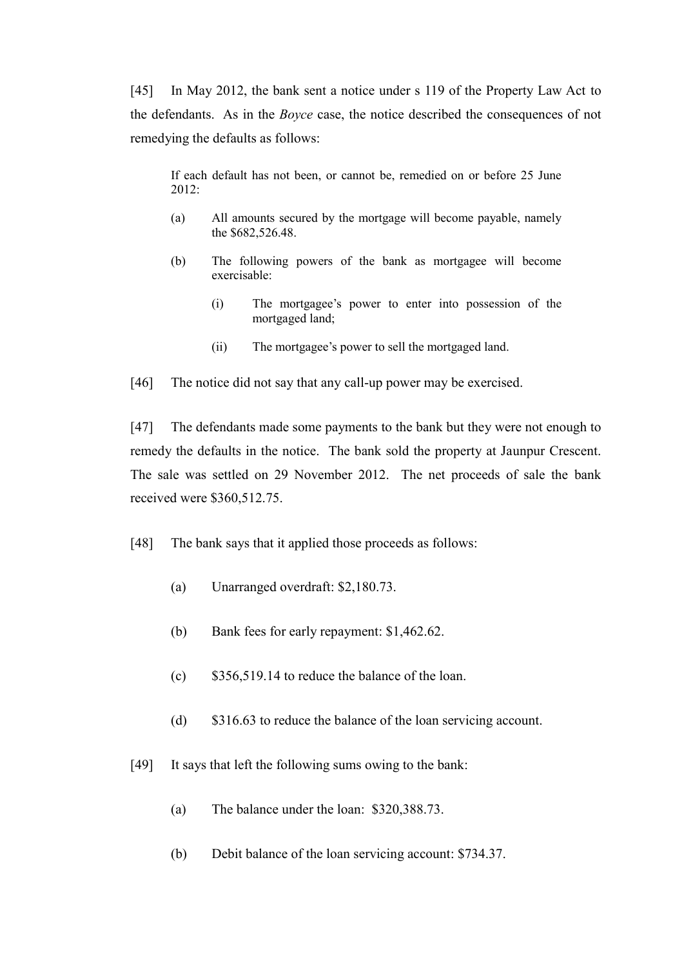[45] In May 2012, the bank sent a notice under s 119 of the Property Law Act to the defendants. As in the *Boyce* case, the notice described the consequences of not remedying the defaults as follows:

If each default has not been, or cannot be, remedied on or before 25 June 2012:

- (a) All amounts secured by the mortgage will become payable, namely the \$682,526.48.
- (b) The following powers of the bank as mortgagee will become exercisable:
	- (i) The mortgagee's power to enter into possession of the mortgaged land;
	- (ii) The mortgagee's power to sell the mortgaged land.

[46] The notice did not say that any call-up power may be exercised.

[47] The defendants made some payments to the bank but they were not enough to remedy the defaults in the notice. The bank sold the property at Jaunpur Crescent. The sale was settled on 29 November 2012. The net proceeds of sale the bank received were \$360,512.75.

- [48] The bank says that it applied those proceeds as follows:
	- (a) Unarranged overdraft: \$2,180.73.
	- (b) Bank fees for early repayment: \$1,462.62.
	- (c) \$356,519.14 to reduce the balance of the loan.
	- (d) \$316.63 to reduce the balance of the loan servicing account.
- [49] It says that left the following sums owing to the bank:
	- (a) The balance under the loan: \$320,388.73.
	- (b) Debit balance of the loan servicing account: \$734.37.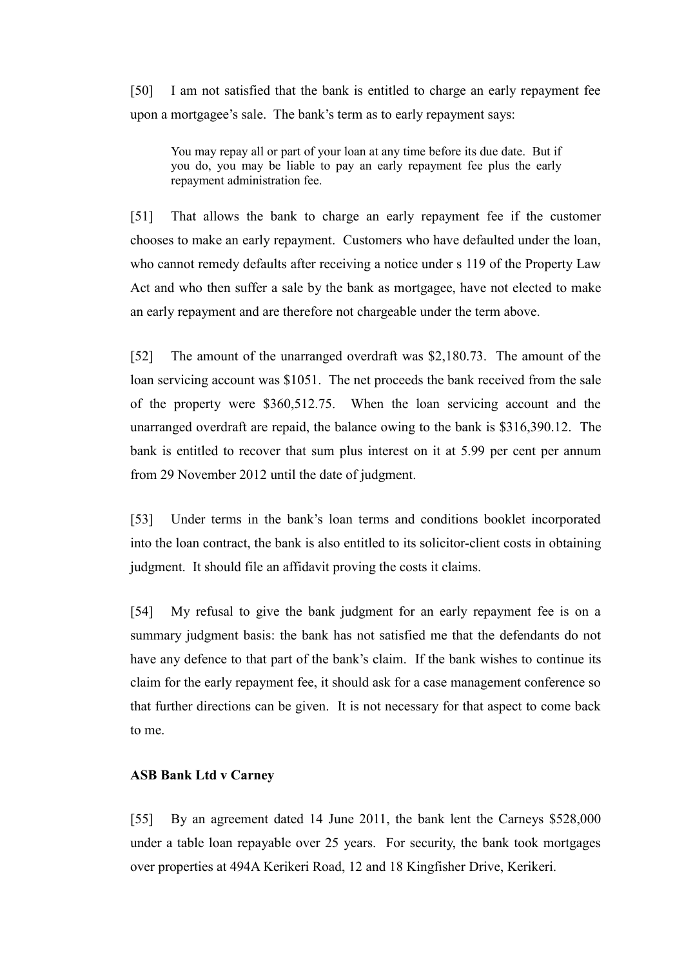[50] I am not satisfied that the bank is entitled to charge an early repayment fee upon a mortgagee's sale. The bank's term as to early repayment says:

You may repay all or part of your loan at any time before its due date. But if you do, you may be liable to pay an early repayment fee plus the early repayment administration fee.

[51] That allows the bank to charge an early repayment fee if the customer chooses to make an early repayment. Customers who have defaulted under the loan, who cannot remedy defaults after receiving a notice under s 119 of the Property Law Act and who then suffer a sale by the bank as mortgagee, have not elected to make an early repayment and are therefore not chargeable under the term above.

[52] The amount of the unarranged overdraft was \$2,180.73. The amount of the loan servicing account was \$1051. The net proceeds the bank received from the sale of the property were \$360,512.75. When the loan servicing account and the unarranged overdraft are repaid, the balance owing to the bank is \$316,390.12. The bank is entitled to recover that sum plus interest on it at 5.99 per cent per annum from 29 November 2012 until the date of judgment.

[53] Under terms in the bank's loan terms and conditions booklet incorporated into the loan contract, the bank is also entitled to its solicitor-client costs in obtaining judgment. It should file an affidavit proving the costs it claims.

[54] My refusal to give the bank judgment for an early repayment fee is on a summary judgment basis: the bank has not satisfied me that the defendants do not have any defence to that part of the bank's claim. If the bank wishes to continue its claim for the early repayment fee, it should ask for a case management conference so that further directions can be given. It is not necessary for that aspect to come back to me.

### **ASB Bank Ltd v Carney**

[55] By an agreement dated 14 June 2011, the bank lent the Carneys \$528,000 under a table loan repayable over 25 years. For security, the bank took mortgages over properties at 494A Kerikeri Road, 12 and 18 Kingfisher Drive, Kerikeri.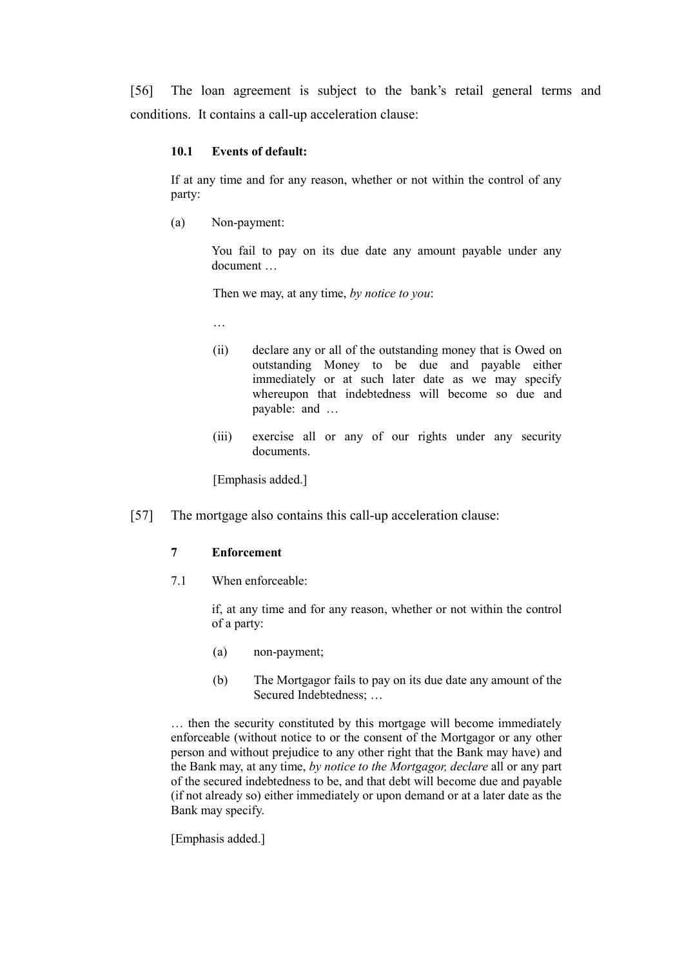[56] The loan agreement is subject to the bank's retail general terms and conditions. It contains a call-up acceleration clause:

#### **10.1 Events of default:**

If at any time and for any reason, whether or not within the control of any party:

(a) Non-payment:

You fail to pay on its due date any amount payable under any document …

Then we may, at any time, *by notice to you*:

- …
- (ii) declare any or all of the outstanding money that is Owed on outstanding Money to be due and payable either immediately or at such later date as we may specify whereupon that indebtedness will become so due and payable: and …
- (iii) exercise all or any of our rights under any security documents.

[Emphasis added.]

[57] The mortgage also contains this call-up acceleration clause:

### **7 Enforcement**

7.1 When enforceable:

if, at any time and for any reason, whether or not within the control of a party:

- (a) non-payment;
- (b) The Mortgagor fails to pay on its due date any amount of the Secured Indebtedness; …

… then the security constituted by this mortgage will become immediately enforceable (without notice to or the consent of the Mortgagor or any other person and without prejudice to any other right that the Bank may have) and the Bank may, at any time, *by notice to the Mortgagor, declare* all or any part of the secured indebtedness to be, and that debt will become due and payable (if not already so) either immediately or upon demand or at a later date as the Bank may specify.

[Emphasis added.]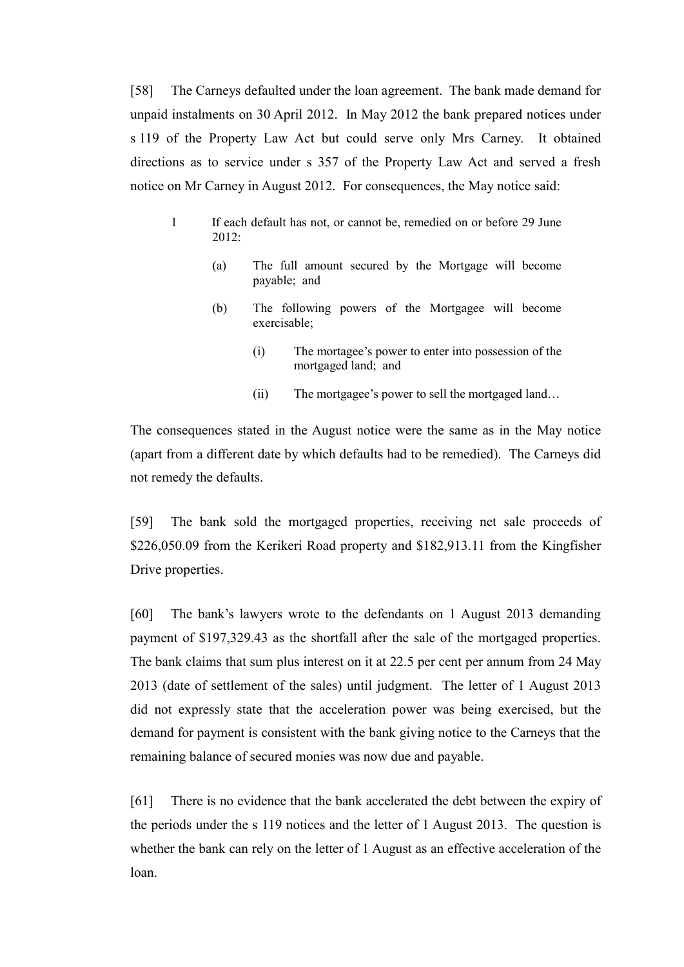[58] The Carneys defaulted under the loan agreement. The bank made demand for unpaid instalments on 30 April 2012. In May 2012 the bank prepared notices under s 119 of the Property Law Act but could serve only Mrs Carney. It obtained directions as to service under s 357 of the Property Law Act and served a fresh notice on Mr Carney in August 2012. For consequences, the May notice said:

- 1 If each default has not, or cannot be, remedied on or before 29 June  $2012$ 
	- (a) The full amount secured by the Mortgage will become payable; and
	- (b) The following powers of the Mortgagee will become exercisable;
		- (i) The mortagee's power to enter into possession of the mortgaged land; and
		- (ii) The mortgagee's power to sell the mortgaged land…

The consequences stated in the August notice were the same as in the May notice (apart from a different date by which defaults had to be remedied). The Carneys did not remedy the defaults.

[59] The bank sold the mortgaged properties, receiving net sale proceeds of \$226,050.09 from the Kerikeri Road property and \$182,913.11 from the Kingfisher Drive properties.

[60] The bank's lawyers wrote to the defendants on 1 August 2013 demanding payment of \$197,329.43 as the shortfall after the sale of the mortgaged properties. The bank claims that sum plus interest on it at 22.5 per cent per annum from 24 May 2013 (date of settlement of the sales) until judgment. The letter of 1 August 2013 did not expressly state that the acceleration power was being exercised, but the demand for payment is consistent with the bank giving notice to the Carneys that the remaining balance of secured monies was now due and payable.

[61] There is no evidence that the bank accelerated the debt between the expiry of the periods under the s 119 notices and the letter of 1 August 2013. The question is whether the bank can rely on the letter of 1 August as an effective acceleration of the loan.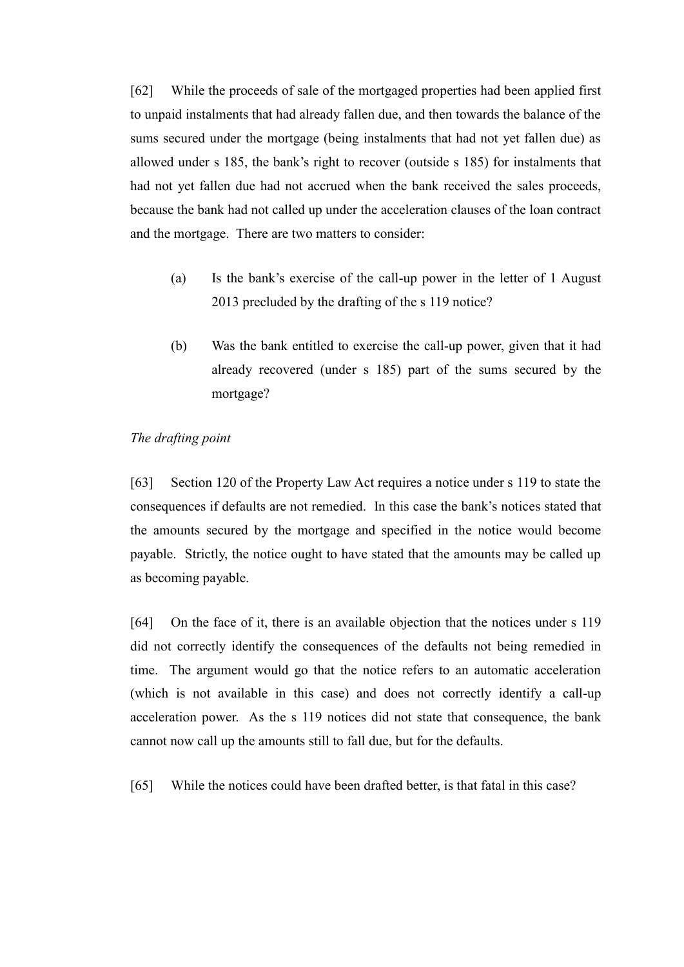[62] While the proceeds of sale of the mortgaged properties had been applied first to unpaid instalments that had already fallen due, and then towards the balance of the sums secured under the mortgage (being instalments that had not yet fallen due) as allowed under s 185, the bank's right to recover (outside s 185) for instalments that had not yet fallen due had not accrued when the bank received the sales proceeds, because the bank had not called up under the acceleration clauses of the loan contract and the mortgage. There are two matters to consider:

- (a) Is the bank's exercise of the call-up power in the letter of 1 August 2013 precluded by the drafting of the s 119 notice?
- (b) Was the bank entitled to exercise the call-up power, given that it had already recovered (under s 185) part of the sums secured by the mortgage?

# *The drafting point*

[63] Section 120 of the Property Law Act requires a notice under s 119 to state the consequences if defaults are not remedied. In this case the bank's notices stated that the amounts secured by the mortgage and specified in the notice would become payable. Strictly, the notice ought to have stated that the amounts may be called up as becoming payable.

[64] On the face of it, there is an available objection that the notices under s 119 did not correctly identify the consequences of the defaults not being remedied in time. The argument would go that the notice refers to an automatic acceleration (which is not available in this case) and does not correctly identify a call-up acceleration power. As the s 119 notices did not state that consequence, the bank cannot now call up the amounts still to fall due, but for the defaults.

[65] While the notices could have been drafted better, is that fatal in this case?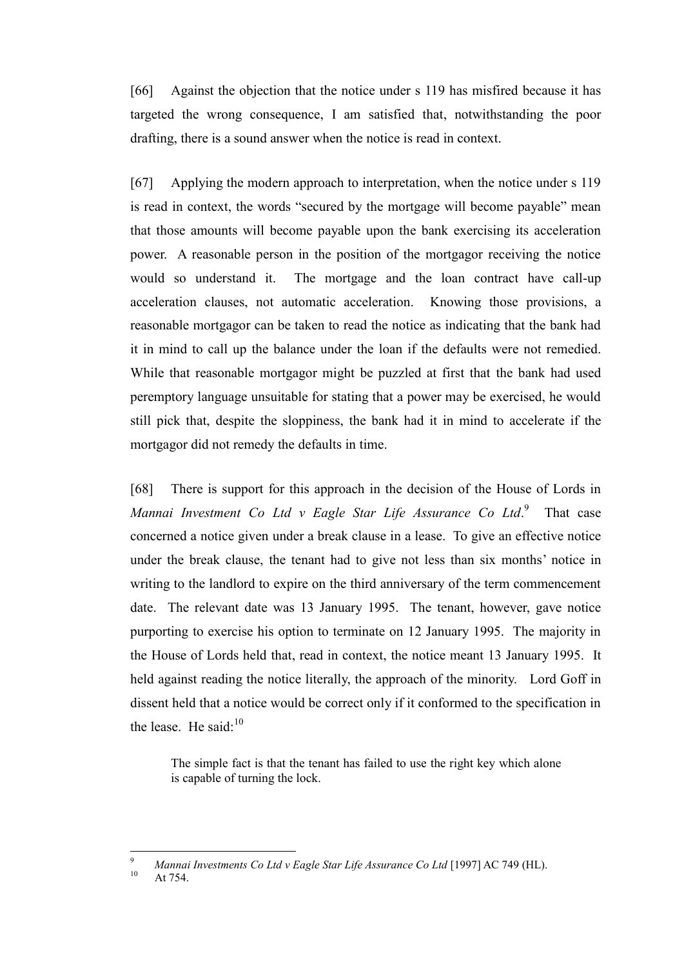[66] Against the objection that the notice under s 119 has misfired because it has targeted the wrong consequence, I am satisfied that, notwithstanding the poor drafting, there is a sound answer when the notice is read in context.

[67] Applying the modern approach to interpretation, when the notice under s 119 is read in context, the words "secured by the mortgage will become payable" mean that those amounts will become payable upon the bank exercising its acceleration power. A reasonable person in the position of the mortgagor receiving the notice would so understand it. The mortgage and the loan contract have call-up acceleration clauses, not automatic acceleration. Knowing those provisions, a reasonable mortgagor can be taken to read the notice as indicating that the bank had it in mind to call up the balance under the loan if the defaults were not remedied. While that reasonable mortgagor might be puzzled at first that the bank had used peremptory language unsuitable for stating that a power may be exercised, he would still pick that, despite the sloppiness, the bank had it in mind to accelerate if the mortgagor did not remedy the defaults in time.

[68] There is support for this approach in the decision of the House of Lords in *Mannai Investment Co Ltd v Eagle Star Life Assurance Co Ltd*. 9 That case concerned a notice given under a break clause in a lease. To give an effective notice under the break clause, the tenant had to give not less than six months' notice in writing to the landlord to expire on the third anniversary of the term commencement date. The relevant date was 13 January 1995. The tenant, however, gave notice purporting to exercise his option to terminate on 12 January 1995. The majority in the House of Lords held that, read in context, the notice meant 13 January 1995. It held against reading the notice literally, the approach of the minority. Lord Goff in dissent held that a notice would be correct only if it conformed to the specification in the lease. He said: $10$ 

The simple fact is that the tenant has failed to use the right key which alone is capable of turning the lock.

At 754

 $\overline{a}$ 

<sup>9</sup> *Mannai Investments Co Ltd v Eagle Star Life Assurance Co Ltd* [1997] AC 749 (HL).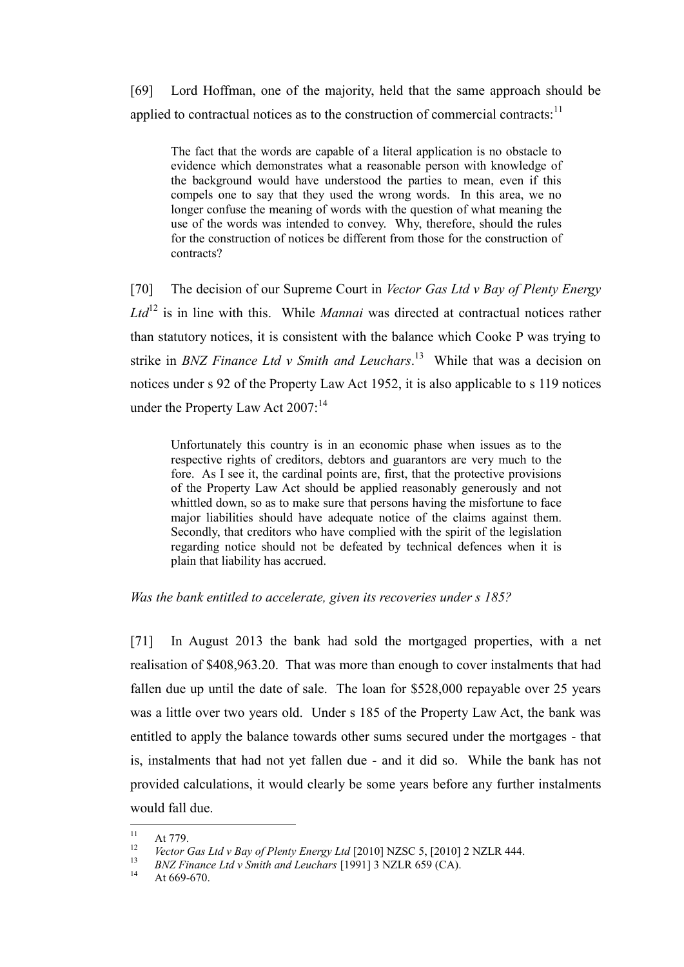[69] Lord Hoffman, one of the majority, held that the same approach should be applied to contractual notices as to the construction of commercial contracts:  $11$ 

The fact that the words are capable of a literal application is no obstacle to evidence which demonstrates what a reasonable person with knowledge of the background would have understood the parties to mean, even if this compels one to say that they used the wrong words. In this area, we no longer confuse the meaning of words with the question of what meaning the use of the words was intended to convey. Why, therefore, should the rules for the construction of notices be different from those for the construction of contracts?

[70] The decision of our Supreme Court in *Vector Gas Ltd v Bay of Plenty Energy Ltd*<sup>12</sup> is in line with this. While *Mannai* was directed at contractual notices rather than statutory notices, it is consistent with the balance which Cooke P was trying to strike in *BNZ Finance Ltd v Smith and Leuchars*. 13 While that was a decision on notices under s 92 of the Property Law Act 1952, it is also applicable to s 119 notices under the Property Law Act 2007:<sup>14</sup>

Unfortunately this country is in an economic phase when issues as to the respective rights of creditors, debtors and guarantors are very much to the fore. As I see it, the cardinal points are, first, that the protective provisions of the Property Law Act should be applied reasonably generously and not whittled down, so as to make sure that persons having the misfortune to face major liabilities should have adequate notice of the claims against them. Secondly, that creditors who have complied with the spirit of the legislation regarding notice should not be defeated by technical defences when it is plain that liability has accrued.

#### *Was the bank entitled to accelerate, given its recoveries under s 185?*

[71] In August 2013 the bank had sold the mortgaged properties, with a net realisation of \$408,963.20. That was more than enough to cover instalments that had fallen due up until the date of sale. The loan for \$528,000 repayable over 25 years was a little over two years old. Under s 185 of the Property Law Act, the bank was entitled to apply the balance towards other sums secured under the mortgages - that is, instalments that had not yet fallen due - and it did so. While the bank has not provided calculations, it would clearly be some years before any further instalments would fall due.

 $11\,$  $11 \atop{12} \text{At } 779.$ 

<sup>&</sup>lt;sup>12</sup> *Vector Gas Ltd v Bay of Plenty Energy Ltd* [2010] NZSC 5, [2010] 2 NZLR 444.

<sup>13</sup> *BNZ Finance Ltd v Smith and Leuchars* [1991] 3 NZLR 659 (CA).

At 669-670.